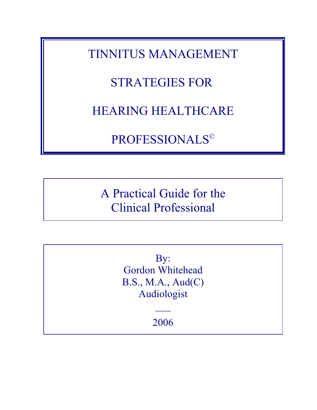TINNITUS MANAGEMENT

# STRATEGIES FOR

## HEARING HEALTHCARE

PROFESSIONALS ©

A Practical Guide for the Clinical Professional

> By: Gordon Whitehead B.S., M.A., Aud(C) Audiologist

> > 2006

 $\overline{\phantom{a}}$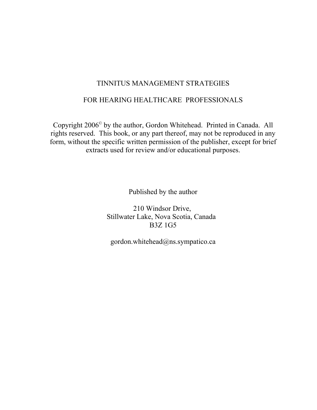#### TINNITUS MANAGEMENT STRATEGIES

#### FOR HEARING HEALTHCARE PROFESSIONALS

Copyright 2006© by the author, Gordon Whitehead. Printed in Canada. All rights reserved. This book, or any part thereof, may not be reproduced in any form, without the specific written permission of the publisher, except for brief extracts used for review and/or educational purposes.

Published by the author

210 Windsor Drive, Stillwater Lake, Nova Scotia, Canada B3Z 1G5

gordon.whitehead@ns.sympatico.ca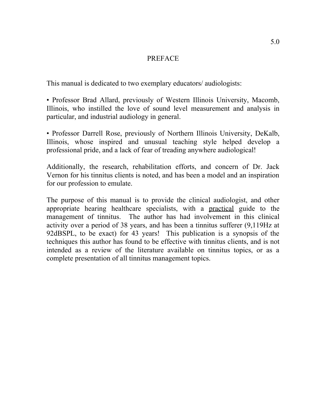#### PREFACE

This manual is dedicated to two exemplary educators/ audiologists:

• Professor Brad Allard, previously of Western Illinois University, Macomb, Illinois, who instilled the love of sound level measurement and analysis in particular, and industrial audiology in general.

• Professor Darrell Rose, previously of Northern Illinois University, DeKalb, Illinois, whose inspired and unusual teaching style helped develop a professional pride, and a lack of fear of treading anywhere audiological!

Additionally, the research, rehabilitation efforts, and concern of Dr. Jack Vernon for his tinnitus clients is noted, and has been a model and an inspiration for our profession to emulate.

The purpose of this manual is to provide the clinical audiologist, and other appropriate hearing healthcare specialists, with a practical guide to the management of tinnitus. The author has had involvement in this clinical activity over a period of 38 years, and has been a tinnitus sufferer (9,119Hz at 92dBSPL, to be exact) for 43 years! This publication is a synopsis of the techniques this author has found to be effective with tinnitus clients, and is not intended as a review of the literature available on tinnitus topics, or as a complete presentation of all tinnitus management topics.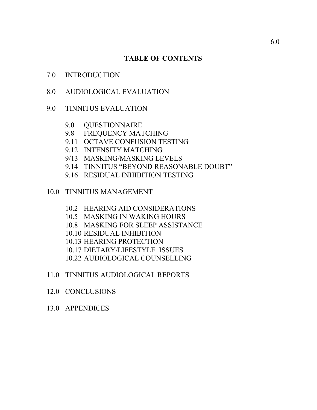#### **TABLE OF CONTENTS**

#### 7.0 INTRODUCTION

8.0 AUDIOLOGICAL EVALUATION

#### 9.0 TINNITUS EVALUATION

- 9.0 QUESTIONNAIRE
- 9.8 FREQUENCY MATCHING
- 9.11 OCTAVE CONFUSION TESTING
- 9.12 INTENSITY MATCHING
- 9/13 MASKING/MASKING LEVELS
- 9.14 TINNITUS "BEYOND REASONABLE DOUBT"
- 9.16 RESIDUAL INHIBITION TESTING

### 10.0 TINNITUS MANAGEMENT

- 10.2 HEARING AID CONSIDERATIONS
- 10.5 MASKING IN WAKING HOURS
- 10.8 MASKING FOR SLEEP ASSISTANCE
- 10.10 RESIDUAL INHIBITION
- 10.13 HEARING PROTECTION
- 10.17 DIETARY/LIFESTYLE ISSUES
- 10.22 AUDIOLOGICAL COUNSELLING
- 11.0 TINNITUS AUDIOLOGICAL REPORTS
- 12.0 CONCLUSIONS
- 13.0 APPENDICES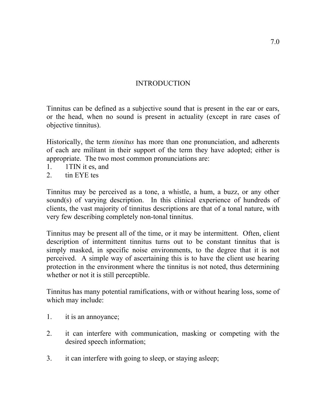## INTRODUCTION

Tinnitus can be defined as a subjective sound that is present in the ear or ears, or the head, when no sound is present in actuality (except in rare cases of objective tinnitus).

Historically, the term *tinnitus* has more than one pronunciation, and adherents of each are militant in their support of the term they have adopted; either is appropriate. The two most common pronunciations are:

- 1. 1TIN it es, and
- 2. tin EYE tes

Tinnitus may be perceived as a tone, a whistle, a hum, a buzz, or any other sound(s) of varying description. In this clinical experience of hundreds of clients, the vast majority of tinnitus descriptions are that of a tonal nature, with very few describing completely non-tonal tinnitus.

Tinnitus may be present all of the time, or it may be intermittent. Often, client description of intermittent tinnitus turns out to be constant tinnitus that is simply masked, in specific noise environments, to the degree that it is not perceived. A simple way of ascertaining this is to have the client use hearing protection in the environment where the tinnitus is not noted, thus determining whether or not it is still perceptible.

Tinnitus has many potential ramifications, with or without hearing loss, some of which may include:

- 1. it is an annoyance;
- 2. it can interfere with communication, masking or competing with the desired speech information;
- 3. it can interfere with going to sleep, or staying asleep;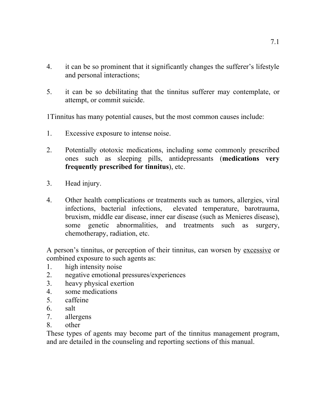- 4. it can be so prominent that it significantly changes the sufferer's lifestyle and personal interactions;
- 5. it can be so debilitating that the tinnitus sufferer may contemplate, or attempt, or commit suicide.

1Tinnitus has many potential causes, but the most common causes include:

- 1. Excessive exposure to intense noise.
- 2. Potentially ototoxic medications, including some commonly prescribed ones such as sleeping pills, antidepressants (**medications very frequently prescribed for tinnitus**), etc.
- 3. Head injury.
- 4. Other health complications or treatments such as tumors, allergies, viral infections, bacterial infections, elevated temperature, barotrauma, bruxism, middle ear disease, inner ear disease (such as Menieres disease), some genetic abnormalities, and treatments such as surgery, chemotherapy, radiation, etc.

A person's tinnitus, or perception of their tinnitus, can worsen by excessive or combined exposure to such agents as:

- 1. high intensity noise
- 2. negative emotional pressures/experiences
- 3. heavy physical exertion
- 4. some medications
- 5. caffeine
- 6. salt
- 7. allergens
- 8. other

These types of agents may become part of the tinnitus management program, and are detailed in the counseling and reporting sections of this manual.